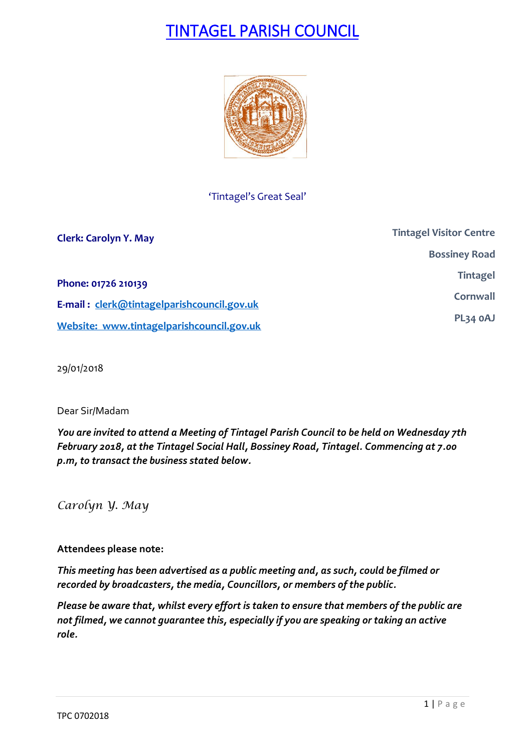# TINTAGEL PARISH COUNCIL



'Tintagel's Great Seal'

| <b>Clerk: Carolyn Y. May</b>               | <b>Tintagel Visitor Centre</b> |
|--------------------------------------------|--------------------------------|
|                                            | <b>Bossiney Road</b>           |
| Phone: 01726 210139                        | <b>Tintagel</b>                |
| E-mail: clerk@tintagelparishcouncil.gov.uk | Cornwall                       |
| Website: www.tintagelparishcouncil.gov.uk  | PL34 OAJ                       |

29/01/2018

# Dear Sir/Madam

*You are invited to attend a Meeting of Tintagel Parish Council to be held on Wednesday 7th February 2018, at the Tintagel Social Hall, Bossiney Road, Tintagel. Commencing at 7.00 p.m, to transact the business stated below.*

*Carolyn Y. May*

# **Attendees please note:**

*This meeting has been advertised as a public meeting and, as such, could be filmed or recorded by broadcasters, the media, Councillors, or members of the public.*

*Please be aware that, whilst every effort is taken to ensure that members of the public are not filmed, we cannot guarantee this, especially if you are speaking or taking an active role.*